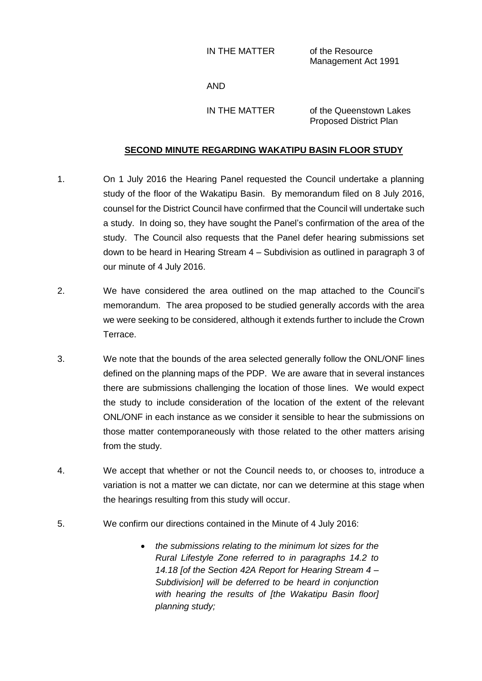IN THE MATTER of the Resource

Management Act 1991

AND

IN THE MATTER of the Queenstown Lakes Proposed District Plan

## **SECOND MINUTE REGARDING WAKATIPU BASIN FLOOR STUDY**

- 1. On 1 July 2016 the Hearing Panel requested the Council undertake a planning study of the floor of the Wakatipu Basin. By memorandum filed on 8 July 2016, counsel for the District Council have confirmed that the Council will undertake such a study. In doing so, they have sought the Panel's confirmation of the area of the study. The Council also requests that the Panel defer hearing submissions set down to be heard in Hearing Stream 4 – Subdivision as outlined in paragraph 3 of our minute of 4 July 2016.
- 2. We have considered the area outlined on the map attached to the Council's memorandum. The area proposed to be studied generally accords with the area we were seeking to be considered, although it extends further to include the Crown Terrace.
- 3. We note that the bounds of the area selected generally follow the ONL/ONF lines defined on the planning maps of the PDP. We are aware that in several instances there are submissions challenging the location of those lines. We would expect the study to include consideration of the location of the extent of the relevant ONL/ONF in each instance as we consider it sensible to hear the submissions on those matter contemporaneously with those related to the other matters arising from the study.
- 4. We accept that whether or not the Council needs to, or chooses to, introduce a variation is not a matter we can dictate, nor can we determine at this stage when the hearings resulting from this study will occur.
- 5. We confirm our directions contained in the Minute of 4 July 2016:
	- *the submissions relating to the minimum lot sizes for the Rural Lifestyle Zone referred to in paragraphs 14.2 to 14.18 [of the Section 42A Report for Hearing Stream 4 – Subdivision] will be deferred to be heard in conjunction with hearing the results of [the Wakatipu Basin floor] planning study;*